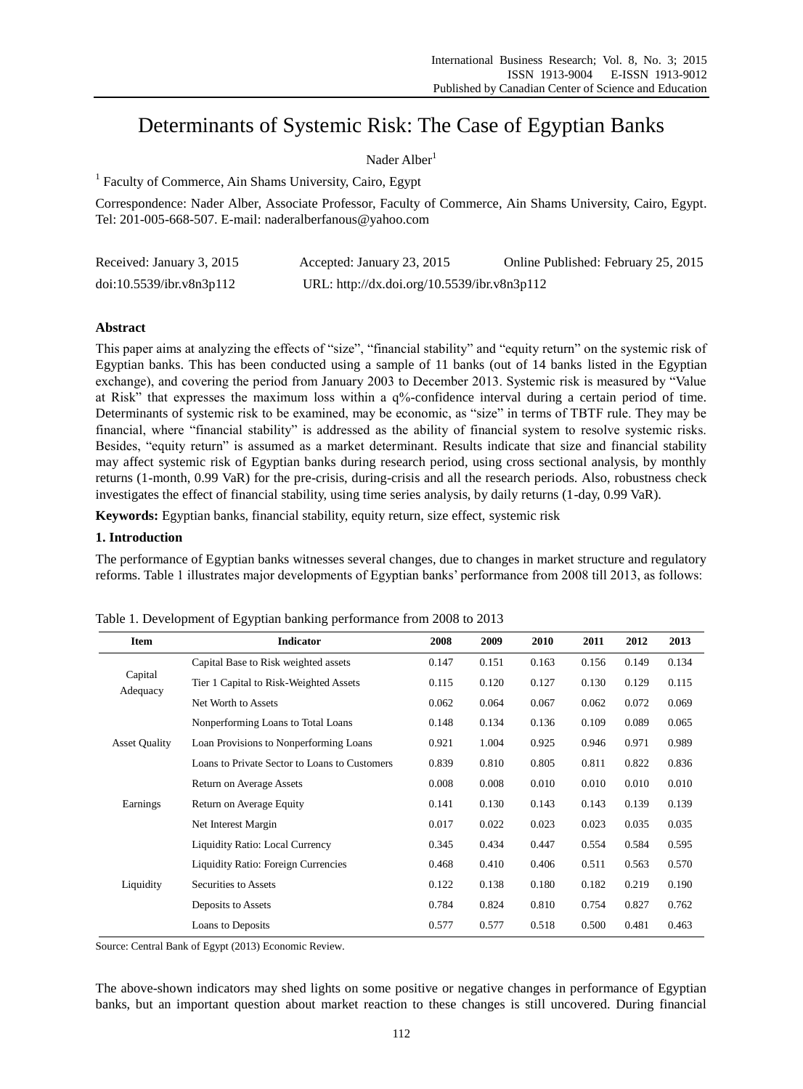# Determinants of Systemic Risk: The Case of Egyptian Banks

# Nader Alber<sup>1</sup>

<sup>1</sup> Faculty of Commerce, Ain Shams University, Cairo, Egypt

Correspondence: Nader Alber, Associate Professor, Faculty of Commerce, Ain Shams University, Cairo, Egypt. Tel: 201-005-668-507. E-mail: naderalberfanous@yahoo.com

| Received: January 3, 2015 | Accepted: January 23, 2015                  | Online Published: February 25, 2015 |
|---------------------------|---------------------------------------------|-------------------------------------|
| doi:10.5539/ibr.v8n3p112  | URL: http://dx.doi.org/10.5539/ibr.v8n3p112 |                                     |

## **Abstract**

This paper aims at analyzing the effects of "size", "financial stability" and "equity return" on the systemic risk of Egyptian banks. This has been conducted using a sample of 11 banks (out of 14 banks listed in the Egyptian exchange), and covering the period from January 2003 to December 2013. Systemic risk is measured by "Value at Risk" that expresses the maximum loss within a  $q\%$ -confidence interval during a certain period of time. Determinants of systemic risk to be examined, may be economic, as "size" in terms of TBTF rule. They may be financial, where "financial stability" is addressed as the ability of financial system to resolve systemic risks. Besides, "equity return" is assumed as a market determinant. Results indicate that size and financial stability may affect systemic risk of Egyptian banks during research period, using cross sectional analysis, by monthly returns (1-month, 0.99 VaR) for the pre-crisis, during-crisis and all the research periods. Also, robustness check investigates the effect of financial stability, using time series analysis, by daily returns (1-day, 0.99 VaR).

**Keywords:** Egyptian banks, financial stability, equity return, size effect, systemic risk

# **1. Introduction**

The performance of Egyptian banks witnesses several changes, due to changes in market structure and regulatory reforms. Table 1 illustrates major developments of Egyptian banks' performance from 2008 till 2013, as follows:

| Item                 | <b>Indicator</b>                              | 2008  | 2009  | 2010                                                                                                                                                                                                                                                                                                                                                                                                                                         | 2011  | 2012  | 2013  |
|----------------------|-----------------------------------------------|-------|-------|----------------------------------------------------------------------------------------------------------------------------------------------------------------------------------------------------------------------------------------------------------------------------------------------------------------------------------------------------------------------------------------------------------------------------------------------|-------|-------|-------|
|                      | Capital Base to Risk weighted assets          | 0.147 | 0.151 | 0.163                                                                                                                                                                                                                                                                                                                                                                                                                                        | 0.156 | 0.149 | 0.134 |
| Capital<br>Adequacy  | Tier 1 Capital to Risk-Weighted Assets        | 0.115 | 0.120 | 0.127                                                                                                                                                                                                                                                                                                                                                                                                                                        | 0.130 | 0.129 | 0.115 |
|                      | Net Worth to Assets                           | 0.062 | 0.064 | 0.067<br>0.072<br>0.069<br>0.062<br>0.109<br>0.089<br>0.065<br>0.136<br>0.971<br>0.925<br>0.946<br>0.989<br>0.836<br>0.805<br>0.811<br>0.822<br>0.010<br>0.010<br>0.010<br>0.010<br>0.143<br>0.143<br>0.139<br>0.139<br>0.023<br>0.023<br>0.035<br>0.035<br>0.447<br>0.554<br>0.584<br>0.595<br>0.511<br>0.570<br>0.406<br>0.563<br>0.180<br>0.182<br>0.219<br>0.190<br>0.810<br>0.827<br>0.762<br>0.754<br>0.500<br>0.518<br>0.481<br>0.463 |       |       |       |
|                      | Nonperforming Loans to Total Loans            | 0.148 | 0.134 |                                                                                                                                                                                                                                                                                                                                                                                                                                              |       |       |       |
| <b>Asset Quality</b> | Loan Provisions to Nonperforming Loans        | 0.921 | 1.004 |                                                                                                                                                                                                                                                                                                                                                                                                                                              |       |       |       |
|                      | Loans to Private Sector to Loans to Customers | 0.839 | 0.810 |                                                                                                                                                                                                                                                                                                                                                                                                                                              |       |       |       |
|                      | Return on Average Assets                      | 0.008 | 0.008 |                                                                                                                                                                                                                                                                                                                                                                                                                                              |       |       |       |
| Earnings             | Return on Average Equity                      | 0.141 | 0.130 |                                                                                                                                                                                                                                                                                                                                                                                                                                              |       |       |       |
|                      | Net Interest Margin                           | 0.017 | 0.022 |                                                                                                                                                                                                                                                                                                                                                                                                                                              |       |       |       |
|                      | Liquidity Ratio: Local Currency               | 0.345 | 0.434 |                                                                                                                                                                                                                                                                                                                                                                                                                                              |       |       |       |
|                      | <b>Liquidity Ratio: Foreign Currencies</b>    | 0.468 | 0.410 |                                                                                                                                                                                                                                                                                                                                                                                                                                              |       |       |       |
| Liquidity            | Securities to Assets                          | 0.122 | 0.138 |                                                                                                                                                                                                                                                                                                                                                                                                                                              |       |       |       |
|                      | Deposits to Assets                            | 0.784 | 0.824 |                                                                                                                                                                                                                                                                                                                                                                                                                                              |       |       |       |
|                      | Loans to Deposits                             | 0.577 | 0.577 |                                                                                                                                                                                                                                                                                                                                                                                                                                              |       |       |       |

|  |  | Table 1. Development of Egyptian banking performance from 2008 to 2013 |  |  |
|--|--|------------------------------------------------------------------------|--|--|
|  |  |                                                                        |  |  |

Source: Central Bank of Egypt (2013) Economic Review.

The above-shown indicators may shed lights on some positive or negative changes in performance of Egyptian banks, but an important question about market reaction to these changes is still uncovered. During financial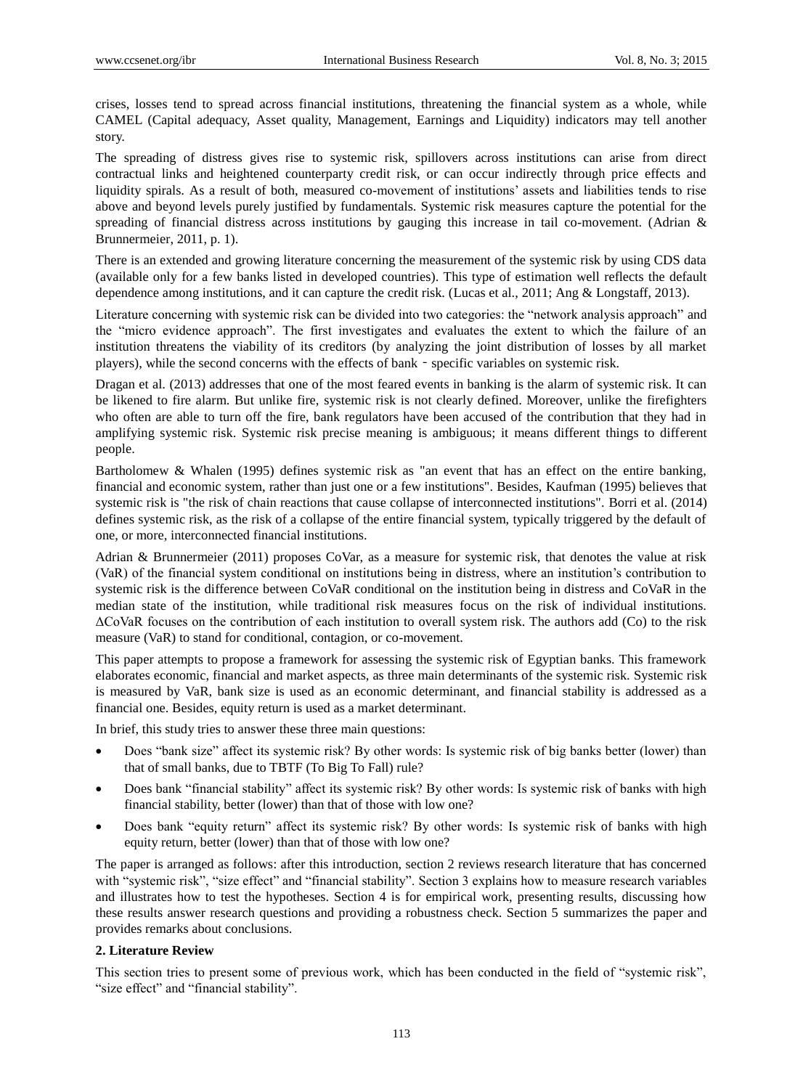crises, losses tend to spread across financial institutions, threatening the financial system as a whole, while CAMEL (Capital adequacy, Asset quality, Management, Earnings and Liquidity) indicators may tell another story.

The spreading of distress gives rise to systemic risk, spillovers across institutions can arise from direct contractual links and heightened counterparty credit risk, or can occur indirectly through price effects and liquidity spirals. As a result of both, measured co-movement of institutions' assets and liabilities tends to rise above and beyond levels purely justified by fundamentals. Systemic risk measures capture the potential for the spreading of financial distress across institutions by gauging this increase in tail co-movement. (Adrian & Brunnermeier, 2011, p. 1).

There is an extended and growing literature concerning the measurement of the systemic risk by using CDS data (available only for a few banks listed in developed countries). This type of estimation well reflects the default dependence among institutions, and it can capture the credit risk. (Lucas et al., 2011; Ang & Longstaff, 2013).

Literature concerning with systemic risk can be divided into two categories: the "network analysis approach" and the "micro evidence approach". The first investigates and evaluates the extent to which the failure of an institution threatens the viability of its creditors (by analyzing the joint distribution of losses by all market players), while the second concerns with the effects of bank - specific variables on systemic risk.

Dragan et al. (2013) addresses that one of the most feared events in banking is the alarm of systemic risk. It can be likened to fire alarm. But unlike fire, systemic risk is not clearly defined. Moreover, unlike the firefighters who often are able to turn off the fire, bank regulators have been accused of the contribution that they had in amplifying systemic risk. Systemic risk precise meaning is ambiguous; it means different things to different people.

Bartholomew & Whalen (1995) defines systemic risk as "an event that has an effect on the entire banking, financial and economic system, rather than just one or a few institutions". Besides, Kaufman (1995) believes that systemic risk is "the risk of chain reactions that cause collapse of interconnected institutions". Borri et al. (2014) defines systemic risk, as the risk of a collapse of the entire financial system, typically triggered by the default of one, or more, interconnected financial institutions.

Adrian & Brunnermeier (2011) proposes CoVar, as a measure for systemic risk, that denotes the value at risk (VaR) of the financial system conditional on institutions being in distress, where an institution's contribution to systemic risk is the difference between CoVaR conditional on the institution being in distress and CoVaR in the median state of the institution, while traditional risk measures focus on the risk of individual institutions. ΔCoVaR focuses on the contribution of each institution to overall system risk. The authors add (Co) to the risk measure (VaR) to stand for conditional, contagion, or co-movement.

This paper attempts to propose a framework for assessing the systemic risk of Egyptian banks. This framework elaborates economic, financial and market aspects, as three main determinants of the systemic risk. Systemic risk is measured by VaR, bank size is used as an economic determinant, and financial stability is addressed as a financial one. Besides, equity return is used as a market determinant.

In brief, this study tries to answer these three main questions:

- Does "bank size" affect its systemic risk? By other words: Is systemic risk of big banks better (lower) than that of small banks, due to TBTF (To Big To Fall) rule?
- Does bank "financial stability" affect its systemic risk? By other words: Is systemic risk of banks with high financial stability, better (lower) than that of those with low one?
- Does bank "equity return" affect its systemic risk? By other words: Is systemic risk of banks with high equity return, better (lower) than that of those with low one?

The paper is arranged as follows: after this introduction, section 2 reviews research literature that has concerned with "systemic risk", "size effect" and "financial stability". Section 3 explains how to measure research variables and illustrates how to test the hypotheses. Section 4 is for empirical work, presenting results, discussing how these results answer research questions and providing a robustness check. Section 5 summarizes the paper and provides remarks about conclusions.

## **2. Literature Review**

This section tries to present some of previous work, which has been conducted in the field of "systemic risk", "size effect" and "financial stability".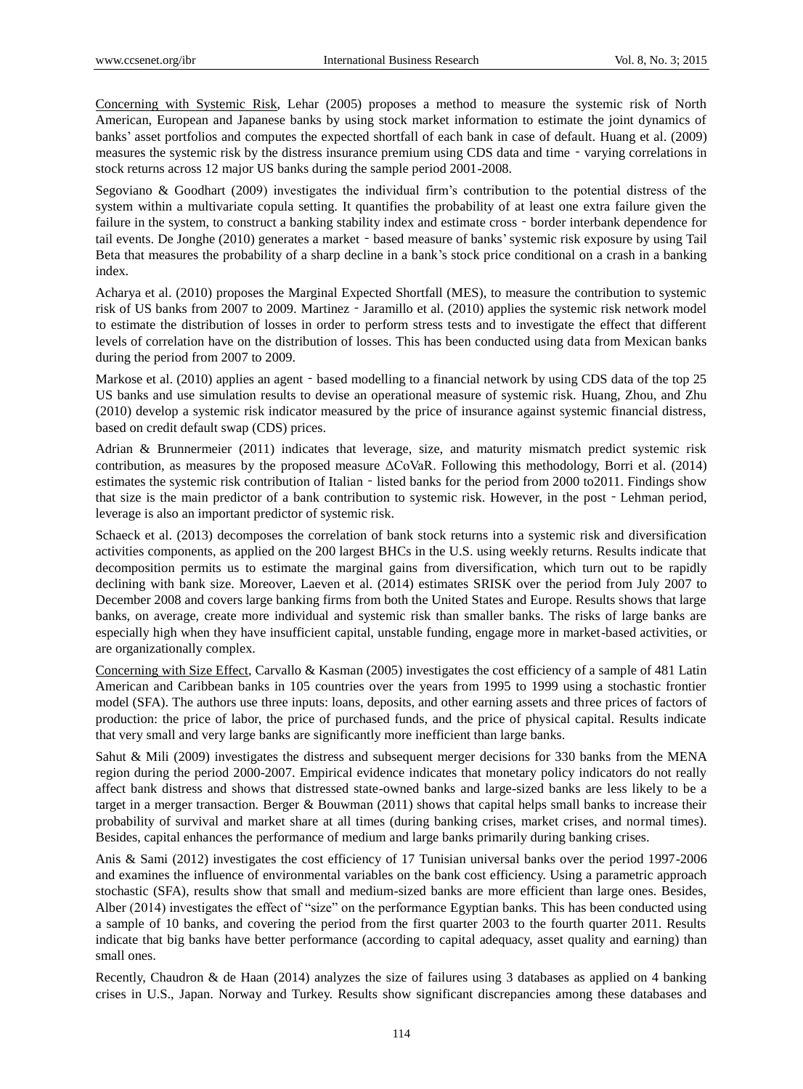Concerning with Systemic Risk, Lehar (2005) proposes a method to measure the systemic risk of North American, European and Japanese banks by using stock market information to estimate the joint dynamics of banks' asset portfolios and computes the expected shortfall of each bank in case of default. Huang et al. (2009) measures the systemic risk by the distress insurance premium using CDS data and time – varying correlations in stock returns across 12 major US banks during the sample period 2001-2008.

Segoviano & Goodhart (2009) investigates the individual firm's contribution to the potential distress of the system within a multivariate copula setting. It quantifies the probability of at least one extra failure given the failure in the system, to construct a banking stability index and estimate cross - border interbank dependence for tail events. De Jonghe (2010) generates a market – based measure of banks' systemic risk exposure by using Tail Beta that measures the probability of a sharp decline in a bank's stock price conditional on a crash in a banking index.

Acharya et al. (2010) proposes the Marginal Expected Shortfall (MES), to measure the contribution to systemic risk of US banks from 2007 to 2009. Martinez‐Jaramillo et al. (2010) applies the systemic risk network model to estimate the distribution of losses in order to perform stress tests and to investigate the effect that different levels of correlation have on the distribution of losses. This has been conducted using data from Mexican banks during the period from 2007 to 2009.

Markose et al. (2010) applies an agent - based modelling to a financial network by using CDS data of the top 25 US banks and use simulation results to devise an operational measure of systemic risk. Huang, Zhou, and Zhu (2010) develop a systemic risk indicator measured by the price of insurance against systemic financial distress, based on credit default swap (CDS) prices.

Adrian & Brunnermeier (2011) indicates that leverage, size, and maturity mismatch predict systemic risk contribution, as measures by the proposed measure ΔCoVaR. Following this methodology, Borri et al. (2014) estimates the systemic risk contribution of Italian - listed banks for the period from 2000 to2011. Findings show that size is the main predictor of a bank contribution to systemic risk. However, in the post‐Lehman period, leverage is also an important predictor of systemic risk.

Schaeck et al. (2013) decomposes the correlation of bank stock returns into a systemic risk and diversification activities components, as applied on the 200 largest BHCs in the U.S. using weekly returns. Results indicate that decomposition permits us to estimate the marginal gains from diversification, which turn out to be rapidly declining with bank size. Moreover, Laeven et al. (2014) estimates SRISK over the period from July 2007 to December 2008 and covers large banking firms from both the United States and Europe. Results shows that large banks, on average, create more individual and systemic risk than smaller banks. The risks of large banks are especially high when they have insufficient capital, unstable funding, engage more in market-based activities, or are organizationally complex.

Concerning with Size Effect, Carvallo & Kasman (2005) investigates the cost efficiency of a sample of 481 Latin American and Caribbean banks in 105 countries over the years from 1995 to 1999 using a stochastic frontier model (SFA). The authors use three inputs: loans, deposits, and other earning assets and three prices of factors of production: the price of labor, the price of purchased funds, and the price of physical capital. Results indicate that very small and very large banks are significantly more inefficient than large banks.

Sahut & Mili (2009) investigates the distress and subsequent merger decisions for 330 banks from the MENA region during the period 2000-2007. Empirical evidence indicates that monetary policy indicators do not really affect bank distress and shows that distressed state-owned banks and large-sized banks are less likely to be a target in a merger transaction. Berger & Bouwman (2011) shows that capital helps small banks to increase their probability of survival and market share at all times (during banking crises, market crises, and normal times). Besides, capital enhances the performance of medium and large banks primarily during banking crises.

Anis & Sami (2012) investigates the cost efficiency of 17 Tunisian universal banks over the period 1997-2006 and examines the influence of environmental variables on the bank cost efficiency. Using a parametric approach stochastic (SFA), results show that small and medium-sized banks are more efficient than large ones. Besides, Alber (2014) investigates the effect of "size" on the performance Egyptian banks. This has been conducted using a sample of 10 banks, and covering the period from the first quarter 2003 to the fourth quarter 2011. Results indicate that big banks have better performance (according to capital adequacy, asset quality and earning) than small ones.

Recently, Chaudron & de Haan (2014) analyzes the size of failures using 3 databases as applied on 4 banking crises in U.S., Japan. Norway and Turkey. Results show significant discrepancies among these databases and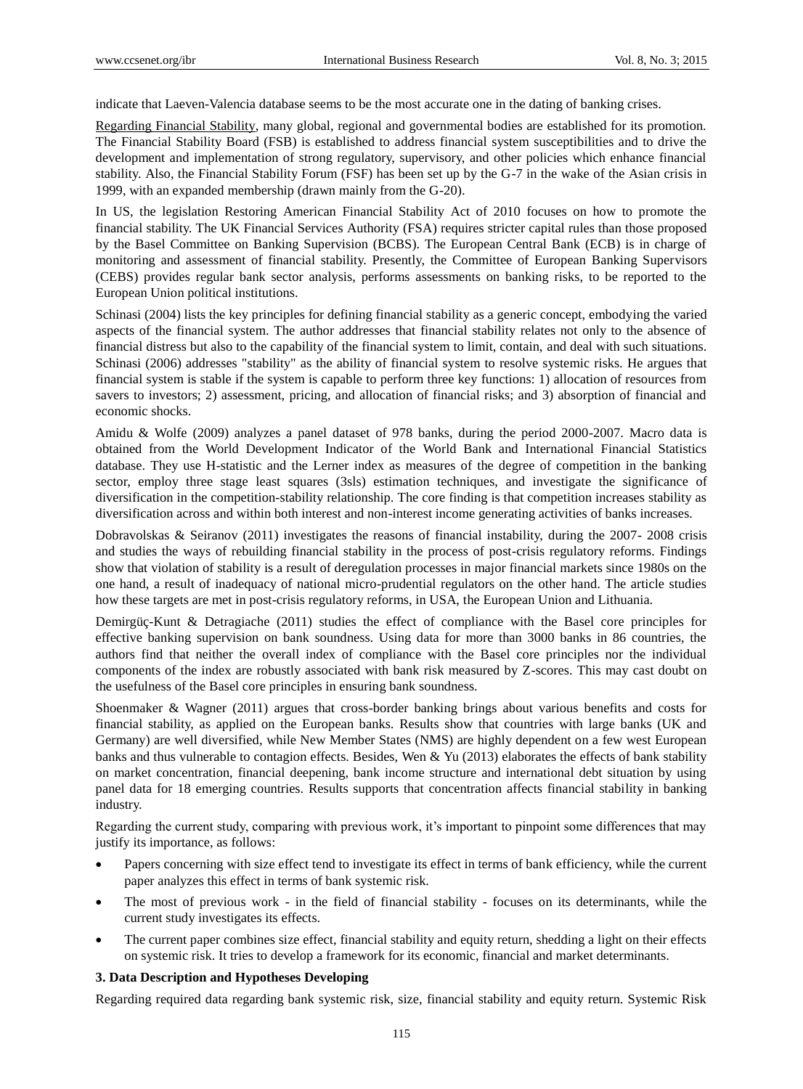indicate that Laeven-Valencia database seems to be the most accurate one in the dating of banking crises.

Regarding Financial Stability, many global, regional and governmental bodies are established for its promotion. The Financial Stability Board (FSB) is established to address financial system susceptibilities and to drive the development and implementation of strong regulatory, supervisory, and other policies which enhance financial stability. Also, the Financial Stability Forum (FSF) has been set up by the G-7 in the wake of the Asian crisis in 1999, with an expanded membership (drawn mainly from the G-20).

In US, the legislation Restoring American Financial Stability Act of 2010 focuses on how to promote the financial stability. The UK Financial Services Authority (FSA) requires stricter capital rules than those proposed by the Basel Committee on Banking Supervision (BCBS). The European Central Bank (ECB) is in charge of monitoring and assessment of financial stability. Presently, the Committee of European Banking Supervisors (CEBS) provides regular bank sector analysis, performs assessments on banking risks, to be reported to the European Union political institutions.

Schinasi (2004) lists the key principles for defining financial stability as a generic concept, embodying the varied aspects of the financial system. The author addresses that financial stability relates not only to the absence of financial distress but also to the capability of the financial system to limit, contain, and deal with such situations. Schinasi (2006) addresses "stability" as the ability of financial system to resolve systemic risks. He argues that financial system is stable if the system is capable to perform three key functions: 1) allocation of resources from savers to investors; 2) assessment, pricing, and allocation of financial risks; and 3) absorption of financial and economic shocks.

Amidu & Wolfe (2009) analyzes a panel dataset of 978 banks, during the period 2000-2007. Macro data is obtained from the World Development Indicator of the World Bank and International Financial Statistics database. They use H-statistic and the Lerner index as measures of the degree of competition in the banking sector, employ three stage least squares (3sls) estimation techniques, and investigate the significance of diversification in the competition-stability relationship. The core finding is that competition increases stability as diversification across and within both interest and non-interest income generating activities of banks increases.

Dobravolskas & Seiranov (2011) investigates the reasons of financial instability, during the 2007- 2008 crisis and studies the ways of rebuilding financial stability in the process of post-crisis regulatory reforms. Findings show that violation of stability is a result of deregulation processes in major financial markets since 1980s on the one hand, a result of inadequacy of national micro-prudential regulators on the other hand. The article studies how these targets are met in post-crisis regulatory reforms, in USA, the European Union and Lithuania.

Demirgüç-Kunt & Detragiache (2011) studies the effect of compliance with the Basel core principles for effective banking supervision on bank soundness. Using data for more than 3000 banks in 86 countries, the authors find that neither the overall index of compliance with the Basel core principles nor the individual components of the index are robustly associated with bank risk measured by Z-scores. This may cast doubt on the usefulness of the Basel core principles in ensuring bank soundness.

Shoenmaker & Wagner (2011) argues that cross-border banking brings about various benefits and costs for financial stability, as applied on the European banks. Results show that countries with large banks (UK and Germany) are well diversified, while New Member States (NMS) are highly dependent on a few west European banks and thus vulnerable to contagion effects. Besides, Wen & Yu (2013) elaborates the effects of bank stability on market concentration, financial deepening, bank income structure and international debt situation by using panel data for 18 emerging countries. Results supports that concentration affects financial stability in banking industry.

Regarding the current study, comparing with previous work, it's important to pinpoint some differences that may justify its importance, as follows:

- Papers concerning with size effect tend to investigate its effect in terms of bank efficiency, while the current paper analyzes this effect in terms of bank systemic risk.
- The most of previous work in the field of financial stability focuses on its determinants, while the current study investigates its effects.
- The current paper combines size effect, financial stability and equity return, shedding a light on their effects on systemic risk. It tries to develop a framework for its economic, financial and market determinants.

## **3. Data Description and Hypotheses Developing**

Regarding required data regarding bank systemic risk, size, financial stability and equity return. Systemic Risk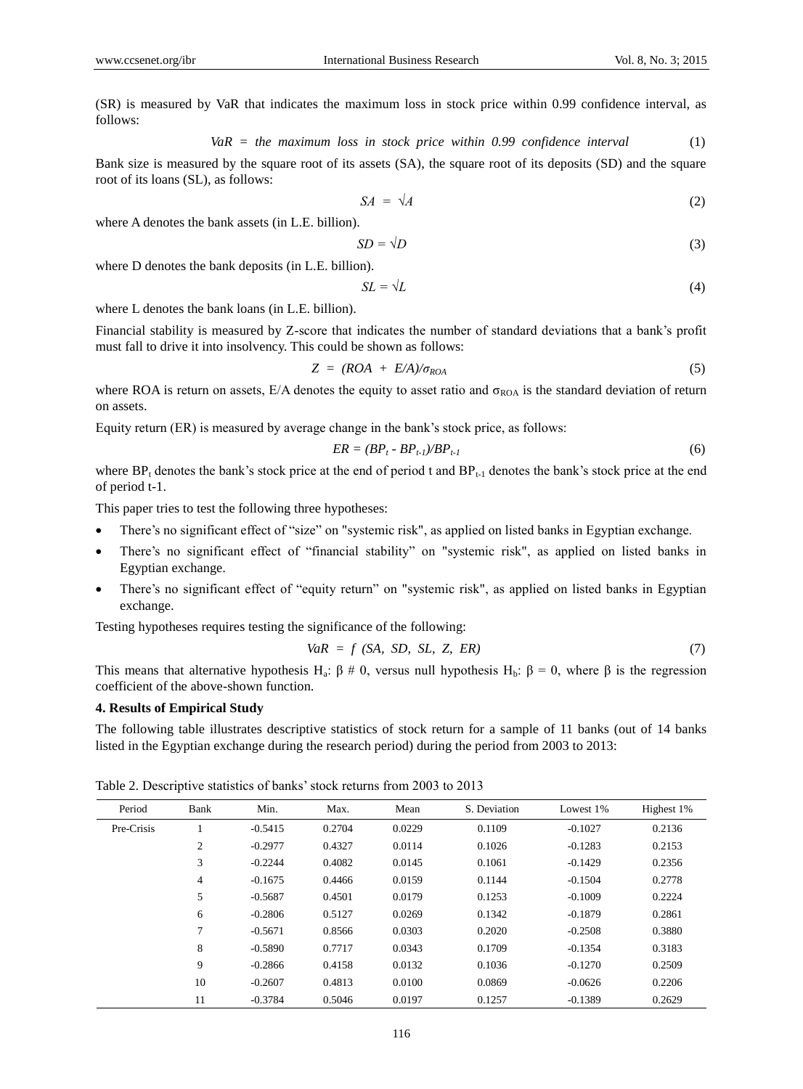(SR) is measured by VaR that indicates the maximum loss in stock price within 0.99 confidence interval, as follows:

$$
VaR = the maximum loss in stock price within 0.99 confidence interval \t(1)
$$

Bank size is measured by the square root of its assets (SA), the square root of its deposits (SD) and the square root of its loans (SL), as follows:

$$
SA = \sqrt{A} \tag{2}
$$

where A denotes the bank assets (in L.E. billion).

$$
SD = \sqrt{D} \tag{3}
$$

where D denotes the bank deposits (in L.E. billion).

$$
SL = \sqrt{L} \tag{4}
$$

where L denotes the bank loans (in L.E. billion).

Financial stability is measured by Z-score that indicates the number of standard deviations that a bank's profit must fall to drive it into insolvency. This could be shown as follows:

$$
Z = (ROA + E/A)/\sigma_{ROA} \tag{5}
$$

where ROA is return on assets, E/A denotes the equity to asset ratio and  $\sigma_{\text{ROA}}$  is the standard deviation of return on assets.

Equity return (ER) is measured by average change in the bank's stock price, as follows:

$$
ER = (BPt - BPt-1)/BPt-1
$$
 (6)

where  $BP_t$  denotes the bank's stock price at the end of period t and  $BP_{t-1}$  denotes the bank's stock price at the end of period t-1.

This paper tries to test the following three hypotheses:

- There's no significant effect of "size" on "systemic risk", as applied on listed banks in Egyptian exchange.
- There's no significant effect of "financial stability" on "systemic risk", as applied on listed banks in Egyptian exchange.
- There's no significant effect of "equity return" on "systemic risk", as applied on listed banks in Egyptian exchange.

Testing hypotheses requires testing the significance of the following:

$$
VaR = f(SA, SD, SL, Z, ER)
$$
\n
$$
(7)
$$

This means that alternative hypothesis H<sub>a</sub>:  $\beta \neq 0$ , versus null hypothesis H<sub>b</sub>:  $\beta = 0$ , where  $\beta$  is the regression coefficient of the above-shown function.

#### **4. Results of Empirical Study**

The following table illustrates descriptive statistics of stock return for a sample of 11 banks (out of 14 banks listed in the Egyptian exchange during the research period) during the period from 2003 to 2013:

Table 2. Descriptive statistics of banks' stock returns from 2003 to 2013

| Period     | Bank | Min.      | Max.   | Mean   | S. Deviation | Lowest 1% | Highest 1% |
|------------|------|-----------|--------|--------|--------------|-----------|------------|
| Pre-Crisis |      | $-0.5415$ | 0.2704 | 0.0229 | 0.1109       | $-0.1027$ | 0.2136     |
|            | 2    | $-0.2977$ | 0.4327 | 0.0114 | 0.1026       | $-0.1283$ | 0.2153     |
|            | 3    | $-0.2244$ | 0.4082 | 0.0145 | 0.1061       | $-0.1429$ | 0.2356     |
|            | 4    | $-0.1675$ | 0.4466 | 0.0159 | 0.1144       | $-0.1504$ | 0.2778     |
|            | 5    | $-0.5687$ | 0.4501 | 0.0179 | 0.1253       | $-0.1009$ | 0.2224     |
|            | 6    | $-0.2806$ | 0.5127 | 0.0269 | 0.1342       | $-0.1879$ | 0.2861     |
|            | 7    | $-0.5671$ | 0.8566 | 0.0303 | 0.2020       | $-0.2508$ | 0.3880     |
|            | 8    | $-0.5890$ | 0.7717 | 0.0343 | 0.1709       | $-0.1354$ | 0.3183     |
|            | 9    | $-0.2866$ | 0.4158 | 0.0132 | 0.1036       | $-0.1270$ | 0.2509     |
|            | 10   | $-0.2607$ | 0.4813 | 0.0100 | 0.0869       | $-0.0626$ | 0.2206     |
|            | 11   | $-0.3784$ | 0.5046 | 0.0197 | 0.1257       | $-0.1389$ | 0.2629     |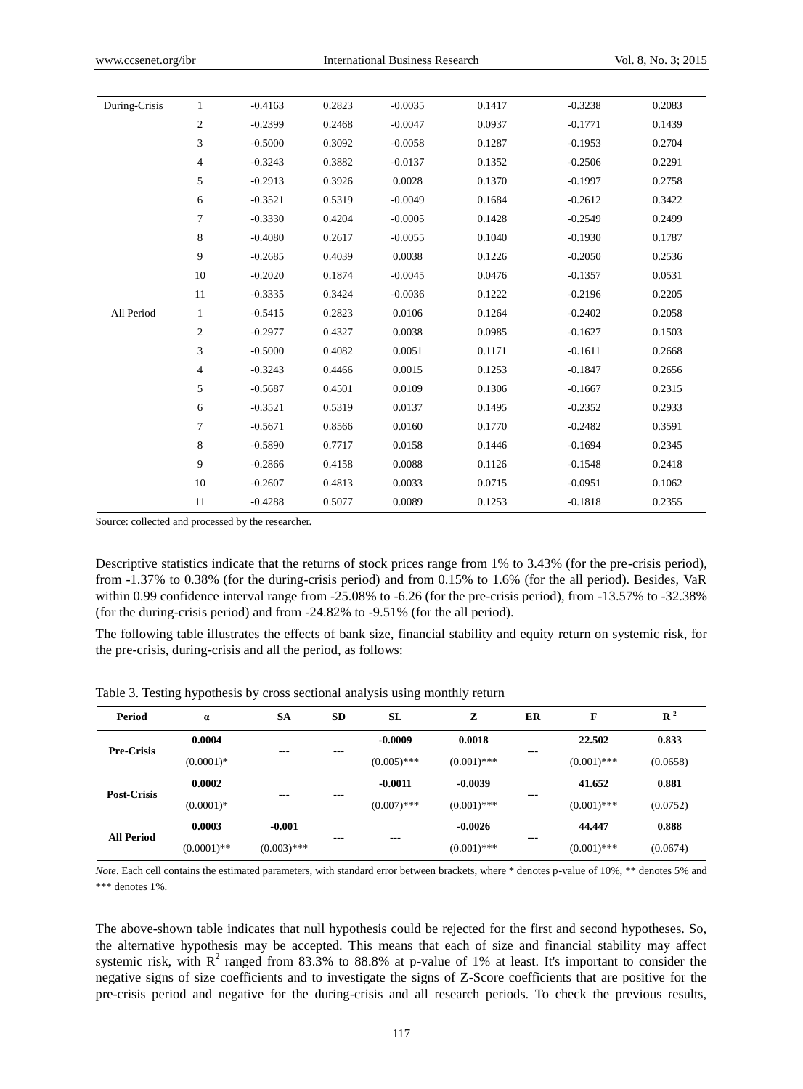| During-Crisis | $\mathbf{1}$   | $-0.4163$ | 0.2823 | $-0.0035$ | 0.1417 | $-0.3238$ | 0.2083 |
|---------------|----------------|-----------|--------|-----------|--------|-----------|--------|
|               | $\mathbf{2}$   | $-0.2399$ | 0.2468 | $-0.0047$ | 0.0937 | $-0.1771$ | 0.1439 |
|               | 3              | $-0.5000$ | 0.3092 | $-0.0058$ | 0.1287 | $-0.1953$ | 0.2704 |
|               | $\overline{4}$ | $-0.3243$ | 0.3882 | $-0.0137$ | 0.1352 | $-0.2506$ | 0.2291 |
|               | 5              | $-0.2913$ | 0.3926 | 0.0028    | 0.1370 | $-0.1997$ | 0.2758 |
|               | 6              | $-0.3521$ | 0.5319 | $-0.0049$ | 0.1684 | $-0.2612$ | 0.3422 |
|               | 7              | $-0.3330$ | 0.4204 | $-0.0005$ | 0.1428 | $-0.2549$ | 0.2499 |
|               | 8              | $-0.4080$ | 0.2617 | $-0.0055$ | 0.1040 | $-0.1930$ | 0.1787 |
|               | 9              | $-0.2685$ | 0.4039 | 0.0038    | 0.1226 | $-0.2050$ | 0.2536 |
|               | 10             | $-0.2020$ | 0.1874 | $-0.0045$ | 0.0476 | $-0.1357$ | 0.0531 |
|               | 11             | $-0.3335$ | 0.3424 | $-0.0036$ | 0.1222 | $-0.2196$ | 0.2205 |
| All Period    | 1              | $-0.5415$ | 0.2823 | 0.0106    | 0.1264 | $-0.2402$ | 0.2058 |
|               | $\overline{2}$ | $-0.2977$ | 0.4327 | 0.0038    | 0.0985 | $-0.1627$ | 0.1503 |
|               | 3              | $-0.5000$ | 0.4082 | 0.0051    | 0.1171 | $-0.1611$ | 0.2668 |
|               | 4              | $-0.3243$ | 0.4466 | 0.0015    | 0.1253 | $-0.1847$ | 0.2656 |
|               | 5              | $-0.5687$ | 0.4501 | 0.0109    | 0.1306 | $-0.1667$ | 0.2315 |
|               | 6              | $-0.3521$ | 0.5319 | 0.0137    | 0.1495 | $-0.2352$ | 0.2933 |
|               | 7              | $-0.5671$ | 0.8566 | 0.0160    | 0.1770 | $-0.2482$ | 0.3591 |
|               | 8              | $-0.5890$ | 0.7717 | 0.0158    | 0.1446 | $-0.1694$ | 0.2345 |
|               | 9              | $-0.2866$ | 0.4158 | 0.0088    | 0.1126 | $-0.1548$ | 0.2418 |
|               | 10             | $-0.2607$ | 0.4813 | 0.0033    | 0.0715 | $-0.0951$ | 0.1062 |
|               | 11             | $-0.4288$ | 0.5077 | 0.0089    | 0.1253 | $-0.1818$ | 0.2355 |

Source: collected and processed by the researcher.

Descriptive statistics indicate that the returns of stock prices range from 1% to 3.43% (for the pre-crisis period), from -1.37% to 0.38% (for the during-crisis period) and from 0.15% to 1.6% (for the all period). Besides, VaR within 0.99 confidence interval range from -25.08% to -6.26 (for the pre-crisis period), from -13.57% to -32.38% (for the during-crisis period) and from -24.82% to -9.51% (for the all period).

The following table illustrates the effects of bank size, financial stability and equity return on systemic risk, for the pre-crisis, during-crisis and all the period, as follows:

|  | Table 3. Testing hypothesis by cross sectional analysis using monthly return |  |  |  |
|--|------------------------------------------------------------------------------|--|--|--|
|  |                                                                              |  |  |  |

| Period             | $\alpha$      | <b>SA</b>     | <b>SD</b> | <b>SL</b>     | z             | ER                     | F             | $\mathbf{R}^2$ |
|--------------------|---------------|---------------|-----------|---------------|---------------|------------------------|---------------|----------------|
|                    | 0.0004        |               |           | $-0.0009$     | 0.0018        |                        | 22.502        | 0.833          |
| <b>Pre-Crisis</b>  | $(0.0001)$ *  | $---$         | $- - -$   | $(0.005)$ *** | $(0.001)$ *** | $\qquad \qquad \cdots$ | $(0.001)$ *** | (0.0658)       |
|                    | 0.0002        |               |           | $-0.0011$     | $-0.0039$     |                        | 41.652        | 0.881          |
| <b>Post-Crisis</b> | $(0.0001)$ *  | $---$         | $- - -$   | $(0.007)$ *** | $(0.001)$ *** | $\qquad \qquad \cdots$ | $(0.001)$ *** | (0.0752)       |
|                    | 0.0003        | $-0.001$      |           |               | $-0.0026$     |                        | 44.447        | 0.888          |
| <b>All Period</b>  | $(0.0001)$ ** | $(0.003)$ *** | ---       | ---           | $(0.001)$ *** | $\qquad \qquad \cdots$ | $(0.001)$ *** | (0.0674)       |

*Note*. Each cell contains the estimated parameters, with standard error between brackets, where \* denotes p-value of 10%, \*\* denotes 5% and \*\*\* denotes 1%.

The above-shown table indicates that null hypothesis could be rejected for the first and second hypotheses. So, the alternative hypothesis may be accepted. This means that each of size and financial stability may affect systemic risk, with  $R^2$  ranged from 83.3% to 88.8% at p-value of 1% at least. It's important to consider the negative signs of size coefficients and to investigate the signs of Z-Score coefficients that are positive for the pre-crisis period and negative for the during-crisis and all research periods. To check the previous results,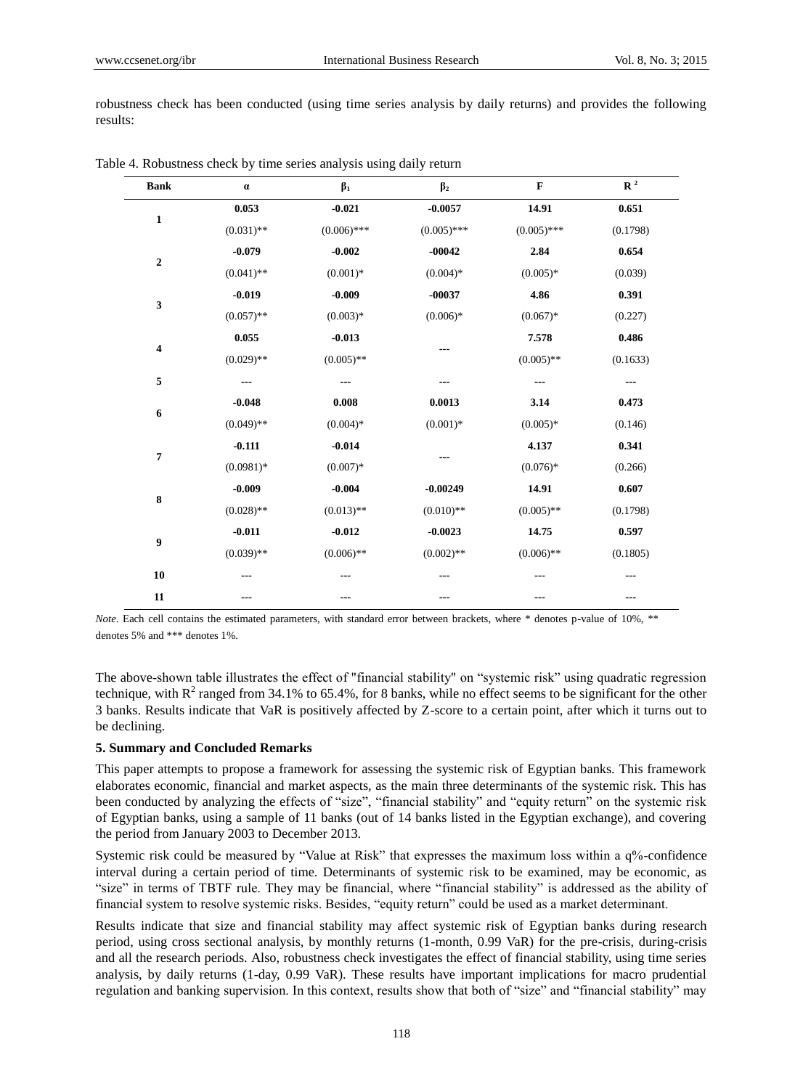robustness check has been conducted (using time series analysis by daily returns) and provides the following results:

| <b>Bank</b>             | $\pmb{\alpha}$ | $\beta_1$     | $\beta_2$     | $\mathbf F$   | $\mathbf{R}$ $^2$ |
|-------------------------|----------------|---------------|---------------|---------------|-------------------|
|                         | 0.053          | $-0.021$      | $-0.0057$     | 14.91         | 0.651             |
| $\mathbf 1$             | $(0.031)$ **   | $(0.006)$ *** | $(0.005)$ *** | $(0.005)$ *** | (0.1798)          |
|                         | $-0.079$       | $-0.002$      | $-00042$      | 2.84          | 0.654             |
| $\mathbf 2$             | $(0.041)$ **   | $(0.001)$ *   | $(0.004)*$    | $(0.005)*$    | (0.039)           |
| $\mathbf{3}$            | $-0.019$       | $-0.009$      | $-00037$      | 4.86          | 0.391             |
|                         | $(0.057)$ **   | $(0.003)*$    | $(0.006)*$    | $(0.067)*$    | (0.227)           |
|                         | 0.055          | $-0.013$      |               | 7.578         | 0.486             |
| $\overline{\mathbf{4}}$ | $(0.029)$ **   | $(0.005)$ **  |               | $(0.005)$ **  | (0.1633)          |
| $\sqrt{5}$              |                | ---           |               | $---$         | ---               |
|                         | $-0.048$       | 0.008         | 0.0013        | 3.14          | 0.473             |
| $\boldsymbol{6}$        | $(0.049)$ **   | $(0.004)*$    | $(0.001)*$    | $(0.005)*$    | (0.146)           |
| $\pmb{7}$               | $-0.111$       | $-0.014$      |               | 4.137         | 0.341             |
|                         | $(0.0981)$ *   | $(0.007)*$    |               | $(0.076)*$    | (0.266)           |
| $\bf 8$                 | $-0.009$       | $-0.004$      | $-0.00249$    | 14.91         | 0.607             |
|                         | $(0.028)$ **   | $(0.013)$ **  | $(0.010)$ **  | $(0.005)$ **  | (0.1798)          |
|                         | $-0.011$       | $-0.012$      | $-0.0023$     | 14.75         | 0.597             |
| $\boldsymbol{9}$        | $(0.039)$ **   | $(0.006)$ **  | $(0.002)$ **  | $(0.006)$ **  | (0.1805)          |
| 10                      |                | ---           | ---           |               |                   |
| ${\bf 11}$              |                |               |               |               |                   |

Table 4. Robustness check by time series analysis using daily return

*Note*. Each cell contains the estimated parameters, with standard error between brackets, where \* denotes p-value of 10%, \*\* denotes 5% and \*\*\* denotes 1%.

The above-shown table illustrates the effect of "financial stability" on "systemic risk" using quadratic regression technique, with  $R^2$  ranged from 34.1% to 65.4%, for 8 banks, while no effect seems to be significant for the other 3 banks. Results indicate that VaR is positively affected by Z-score to a certain point, after which it turns out to be declining.

# **5. Summary and Concluded Remarks**

This paper attempts to propose a framework for assessing the systemic risk of Egyptian banks. This framework elaborates economic, financial and market aspects, as the main three determinants of the systemic risk. This has been conducted by analyzing the effects of "size", "financial stability" and "equity return" on the systemic risk of Egyptian banks, using a sample of 11 banks (out of 14 banks listed in the Egyptian exchange), and covering the period from January 2003 to December 2013.

Systemic risk could be measured by "Value at Risk" that expresses the maximum loss within a q%-confidence interval during a certain period of time. Determinants of systemic risk to be examined, may be economic, as "size" in terms of TBTF rule. They may be financial, where "financial stability" is addressed as the ability of financial system to resolve systemic risks. Besides, "equity return" could be used as a market determinant.

Results indicate that size and financial stability may affect systemic risk of Egyptian banks during research period, using cross sectional analysis, by monthly returns (1-month, 0.99 VaR) for the pre-crisis, during-crisis and all the research periods. Also, robustness check investigates the effect of financial stability, using time series analysis, by daily returns (1-day, 0.99 VaR). These results have important implications for macro prudential regulation and banking supervision. In this context, results show that both of "size" and "financial stability" may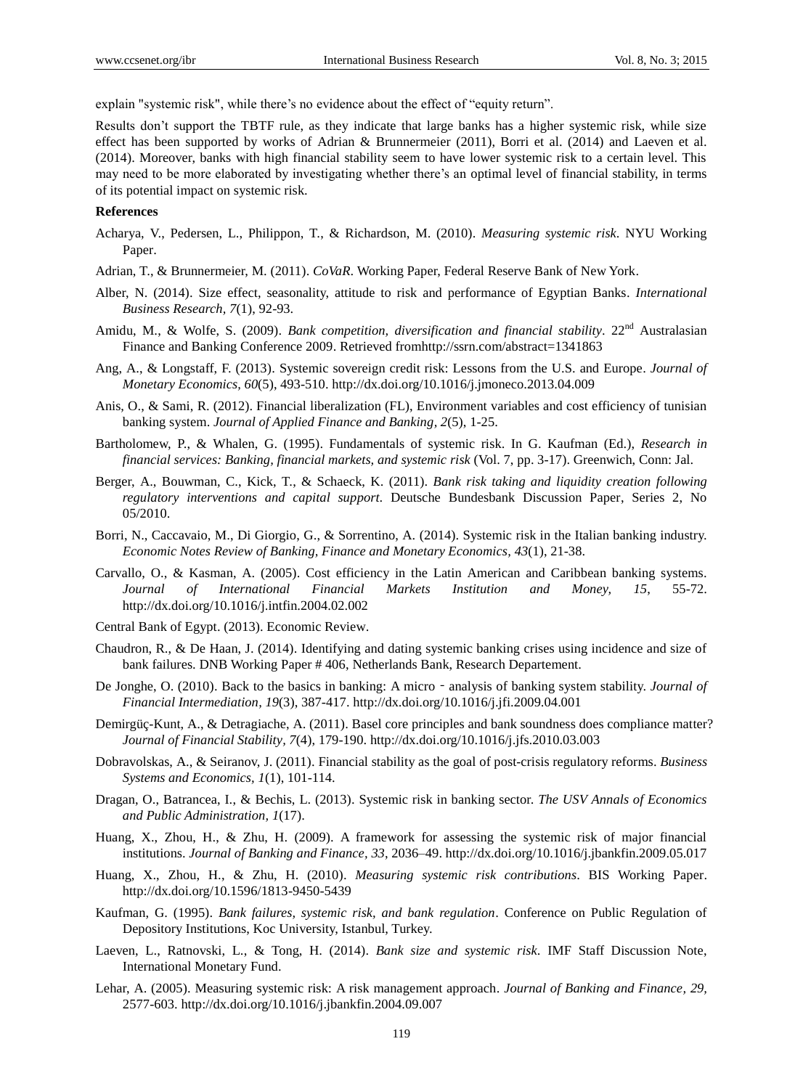explain "systemic risk", while there's no evidence about the effect of "equity return".

Results don't support the TBTF rule, as they indicate that large banks has a higher systemic risk, while size effect has been supported by works of Adrian & Brunnermeier (2011), Borri et al. (2014) and Laeven et al. (2014). Moreover, banks with high financial stability seem to have lower systemic risk to a certain level. This may need to be more elaborated by investigating whether there's an optimal level of financial stability, in terms of its potential impact on systemic risk.

#### **References**

- Acharya, V., Pedersen, L., Philippon, T., & Richardson, M. (2010). *Measuring systemic risk*. NYU Working Paper.
- Adrian, T., & Brunnermeier, M. (2011). *CoVaR*. Working Paper, Federal Reserve Bank of New York.
- Alber, N. (2014). Size effect, seasonality, attitude to risk and performance of Egyptian Banks. *International Business Research, 7*(1), 92-93.
- Amidu, M., & Wolfe, S. (2009). *Bank competition, diversification and financial stability*. 22<sup>nd</sup> Australasian Finance and Banking Conference 2009. Retrieved fromhttp://ssrn.com/abstract=1341863
- Ang, A., & Longstaff, F. (2013). Systemic sovereign credit risk: Lessons from the U.S. and Europe. *Journal of Monetary Economics, 60*(5), 493-510. http://dx.doi.org/10.1016/j.jmoneco.2013.04.009
- Anis, O., & Sami, R. (2012). Financial liberalization (FL), Environment variables and cost efficiency of tunisian banking system. *Journal of Applied Finance and Banking, 2*(5), 1-25.
- Bartholomew, P., & Whalen, G. (1995). Fundamentals of systemic risk. In G. Kaufman (Ed.), *Research in financial services: Banking, financial markets, and systemic risk* (Vol. 7, pp. 3-17). Greenwich, Conn: Jal.
- Berger, A., Bouwman, C., Kick, T., & Schaeck, K. (2011). *Bank risk taking and liquidity creation following regulatory interventions and capital support*. Deutsche Bundesbank Discussion Paper, Series 2, No 05/2010.
- Borri, N., Caccavaio, M., Di Giorgio, G., & Sorrentino, A. (2014). Systemic risk in the Italian banking industry. *Economic Notes Review of Banking, Finance and Monetary Economics, 43*(1), 21-38.
- Carvallo, O., & Kasman, A. (2005). Cost efficiency in the Latin American and Caribbean banking systems. *Journal of International Financial Markets Institution and Money, 15*, 55-72. http://dx.doi.org/10.1016/j.intfin.2004.02.002
- Central Bank of Egypt. (2013). Economic Review.
- Chaudron, R., & De Haan, J. (2014). Identifying and dating systemic banking crises using incidence and size of bank failures. DNB Working Paper # 406, Netherlands Bank, Research Departement.
- De Jonghe, O. (2010). Back to the basics in banking: A micro analysis of banking system stability. *Journal of Financial Intermediation, 19*(3), 387-417. http://dx.doi.org/10.1016/j.jfi.2009.04.001
- Demirgüç-Kunt, A., & Detragiache, A. (2011). Basel core principles and bank soundness does compliance matter? *Journal of Financial Stability, 7*(4), 179-190. http://dx.doi.org/10.1016/j.jfs.2010.03.003
- Dobravolskas, A., & Seiranov, J. (2011). Financial stability as the goal of post-crisis regulatory reforms. *Business Systems and Economics, 1*(1), 101-114.
- Dragan, O., Batrancea, I., & Bechis, L. (2013). Systemic risk in banking sector. *The USV Annals of Economics and Public Administration, 1*(17).
- Huang, X., Zhou, H., & Zhu, H. (2009). A framework for assessing the systemic risk of major financial institutions. *Journal of Banking and Finance, 33*, 2036–49. http://dx.doi.org/10.1016/j.jbankfin.2009.05.017
- Huang, X., Zhou, H., & Zhu, H. (2010). *Measuring systemic risk contributions*. BIS Working Paper. http://dx.doi.org/10.1596/1813-9450-5439
- Kaufman, G. (1995). *Bank failures, systemic risk, and bank regulation*. Conference on Public Regulation of Depository Institutions, Koc University, Istanbul, Turkey.
- Laeven, L., Ratnovski, L., & Tong, H. (2014). *Bank size and systemic risk*. IMF Staff Discussion Note, International Monetary Fund.
- Lehar, A. (2005). Measuring systemic risk: A risk management approach. *Journal of Banking and Finance, 29,* 2577-603. http://dx.doi.org/10.1016/j.jbankfin.2004.09.007